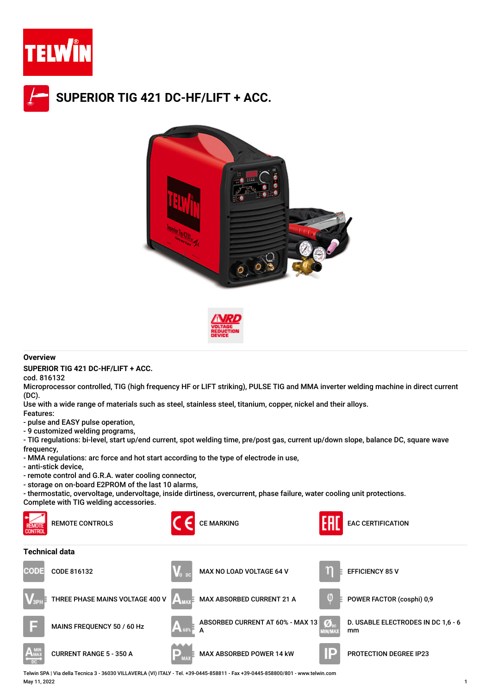

## **SUPERIOR TIG 421 DC-HF/LIFT + ACC.**





## **Overview**

**SUPERIOR TIG 421 DC-HF/LIFT + ACC.**

cod. 816132

Microprocessor controlled, TIG (high frequency HF or LIFT striking), PULSE TIG and MMA inverter welding machine in direct current (DC).

Use with a wide range of materials such as steel, stainless steel, titanium, copper, nickel and their alloys.

Features:

- pulse and EASY pulse operation,

- 9 customized welding programs,

- TIG regulations: bi-level, start up/end current, spot welding time, pre/post gas, current up/down slope, balance DC, square wave frequency.

- MMA regulations: arc force and hot start according to the type of electrode in use,

- anti-stick device,

- remote control and G.R.A. water cooling connector,
- storage on on-board E2PROM of the last 10 alarms,

- thermostatic, overvoltage, undervoltage, inside dirtiness, overcurrent, phase failure, water cooling unit protections.

Complete with TIG welding accessories.



Telwin SPA | Via della Tecnica 3 - 36030 VILLAVERLA (VI) ITALY - Tel. +39-0445-858811 - Fax +39-0445-858800/801 - www.telwin.com May 11, 2022 1